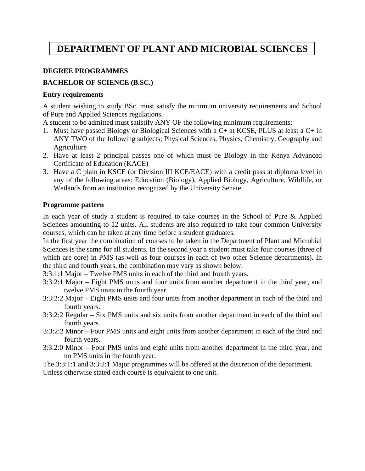# **DEPARTMENT OF PLANT AND MICROBIAL SCIENCES**

### **DEGREE PROGRAMMES**

# **BACHELOR OF SCIENCE (B.SC.)**

#### **Entry requirements**

A student wishing to study BSc. must satisfy the minimum university requirements and School of Pure and Applied Sciences regulations.

A student to be admitted must satistify ANY OF the following minimum requirements:

- 1. Must have passed Biology or Biological Sciences with a C+ at KCSE, PLUS at least a C+ in ANY TWO of the following subjects; Physical Sciences, Physics, Chemistry, Geography and Agriculture
- 2. Have at least 2 principal passes one of which must be Biology in the Kenya Advanced Certificate of Education (KACE)
- 3. Have a C plain in KSCE (or Division III KCE/EACE) with a credit pass at diploma level in any of the following areas: Education (Biology), Applied Biology, Agriculture, Wildlife, or Wetlands from an institution recognized by the University Senate.

#### **Programme pattern**

In each year of study a student is required to take courses in the School of Pure & Applied Sciences amounting to 12 units. All students are also required to take four common University courses, which can be taken at any time before a student graduates.

In the first year the combination of courses to be taken in the Department of Plant and Microbial Sciences is the same for all students. In the second year a student must take four courses (three of which are core) in PMS (as well as four courses in each of two other Science departments). In the third and fourth years, the combination may vary as shown below.

- 3:3:1:1 Major Twelve PMS units in each of the third and fourth years.
- 3:3:2:1 Major Eight PMS units and four units from another department in the third year, and twelve PMS units in the fourth year.
- 3:3:2:2 Major Eight PMS units and four units from another department in each of the third and fourth years.
- 3:3:2:2 Regular Six PMS units and six units from another department in each of the third and fourth years.
- 3:3:2:2 Minor Four PMS units and eight units from another department in each of the third and fourth years.
- 3:3:2:0 Minor Four PMS units and eight units from another department in the third year, and no PMS units in the fourth year.

The 3:3:1:1 and 3:3:2:1 Major programmes will be offered at the discretion of the department.

Unless otherwise stated each course is equivalent to one unit.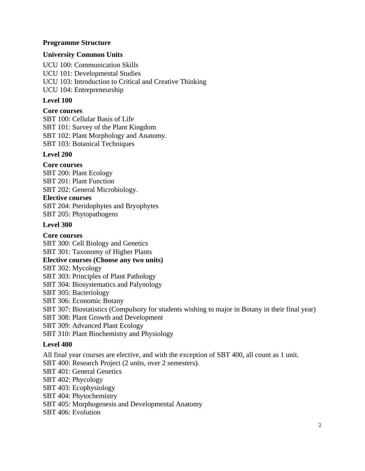# **Programme Structure**

# **University Common Units**

UCU 100: Communication Skills UCU 101: Developmental Studies UCU 103: Introduction to Critical and Creative Thinking UCU 104: Entrepreneurship

# **Level 100**

### **Core courses**

SBT 100: Cellular Basis of Life SBT 101: Survey of the Plant Kingdom SBT 102: Plant Morphology and Anatomy. SBT 103: Botanical Techniques

# **Level 200**

# **Core courses**

SBT 200: Plant Ecology SBT 201: Plant Function SBT 202: General Microbiology.

#### **Elective courses**

SBT 204: Pteridophytes and Bryophytes SBT 205: Phytopathogens

# **Level 300**

#### **Core courses**

SBT 300: Cell Biology and Genetics

SBT 301: Taxonomy of Higher Plants

# **Elective courses (Choose any two units)**

SBT 302: Mycology

SBT 303: Principles of Plant Pathology

SBT 304: Biosystematics and Palynology

SBT 305: Bacteriology

SBT 306: Economic Botany

SBT 307: Biostatistics (Compulsory for students wishing to major in Botany in their final year)

SBT 308: Plant Growth and Development

SBT 309: Advanced Plant Ecology

SBT 310: Plant Biochemistry and Physiology

# **Level 400**

All final year courses are elective, and with the exception of SBT 400, all count as 1 unit. SBT 400: Research Project (2 units, over 2 semesters). SBT 401: General Genetics SBT 402: Phycology SBT 403: Ecophysiology SBT 404: Phytochemistry SBT 405: Morphogenesis and Developmental Anatomy SBT 406: Evolution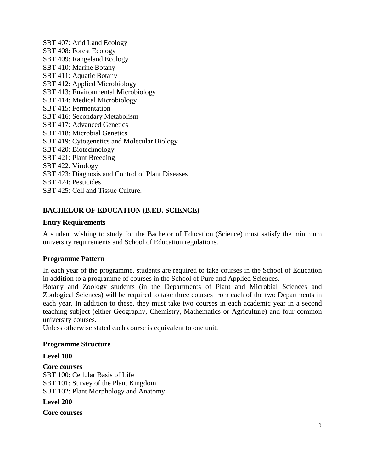SBT 407: Arid Land Ecology SBT 408: Forest Ecology SBT 409: Rangeland Ecology SBT 410: Marine Botany SBT 411: Aquatic Botany SBT 412: Applied Microbiology SBT 413: Environmental Microbiology SBT 414: Medical Microbiology SBT 415: Fermentation SBT 416: Secondary Metabolism SBT 417: Advanced Genetics SBT 418: Microbial Genetics SBT 419: Cytogenetics and Molecular Biology SBT 420: Biotechnology SBT 421: Plant Breeding SBT 422: Virology SBT 423: Diagnosis and Control of Plant Diseases SBT 424: Pesticides SBT 425: Cell and Tissue Culture.

# **BACHELOR OF EDUCATION (B.ED. SCIENCE)**

#### **Entry Requirements**

A student wishing to study for the Bachelor of Education (Science) must satisfy the minimum university requirements and School of Education regulations.

#### **Programme Pattern**

In each year of the programme, students are required to take courses in the School of Education in addition to a programme of courses in the School of Pure and Applied Sciences.

Botany and Zoology students (in the Departments of Plant and Microbial Sciences and Zoological Sciences) will be required to take three courses from each of the two Departments in each year. In addition to these, they must take two courses in each academic year in a second teaching subject (either Geography, Chemistry, Mathematics or Agriculture) and four common university courses.

Unless otherwise stated each course is equivalent to one unit.

#### **Programme Structure**

#### **Level 100**

**Core courses**  SBT 100: Cellular Basis of Life SBT 101: Survey of the Plant Kingdom. SBT 102: Plant Morphology and Anatomy.

**Level 200** 

**Core courses**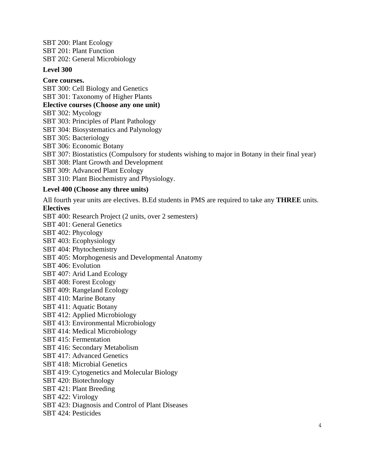SBT 200: Plant Ecology SBT 201: Plant Function SBT 202: General Microbiology

#### **Level 300**

**Core courses.** 

SBT 300: Cell Biology and Genetics SBT 301: Taxonomy of Higher Plants

#### **Elective courses (Choose any one unit)**

SBT 302: Mycology

SBT 303: Principles of Plant Pathology

SBT 304: Biosystematics and Palynology

SBT 305: Bacteriology

SBT 306: Economic Botany

SBT 307: Biostatistics (Compulsory for students wishing to major in Botany in their final year)

SBT 308: Plant Growth and Development

SBT 309: Advanced Plant Ecology

SBT 310: Plant Biochemistry and Physiology.

# **Level 400 (Choose any three units)**

All fourth year units are electives. B.Ed students in PMS are required to take any **THREE** units. **Electives** 

SBT 400: Research Project (2 units, over 2 semesters) SBT 401: General Genetics SBT 402: Phycology SBT 403: Ecophysiology SBT 404: Phytochemistry SBT 405: Morphogenesis and Developmental Anatomy SBT 406: Evolution SBT 407: Arid Land Ecology SBT 408: Forest Ecology SBT 409: Rangeland Ecology SBT 410: Marine Botany SBT 411: Aquatic Botany SBT 412: Applied Microbiology SBT 413: Environmental Microbiology SBT 414: Medical Microbiology SBT 415: Fermentation SBT 416: Secondary Metabolism SBT 417: Advanced Genetics SBT 418: Microbial Genetics SBT 419: Cytogenetics and Molecular Biology SBT 420: Biotechnology SBT 421: Plant Breeding SBT 422: Virology SBT 423: Diagnosis and Control of Plant Diseases

SBT 424: Pesticides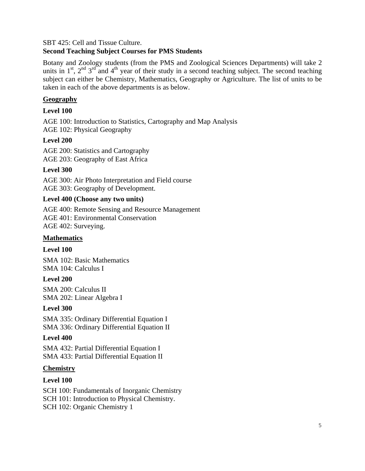#### SBT 425: Cell and Tissue Culture.

# **Second Teaching Subject Courses for PMS Students**

Botany and Zoology students (from the PMS and Zoological Sciences Departments) will take 2 units in  $1^{\text{st}}$ ,  $2^{\text{nd}}$   $3^{\text{rd}}$  and  $4^{\text{th}}$  year of their study in a second teaching subject. The second teaching subject can either be Chemistry, Mathematics, Geography or Agriculture. The list of units to be taken in each of the above departments is as below.

# **Geography**

# **Level 100**

AGE 100: Introduction to Statistics, Cartography and Map Analysis AGE 102: Physical Geography

# **Level 200**

AGE 200: Statistics and Cartography AGE 203: Geography of East Africa

# **Level 300**

AGE 300: Air Photo Interpretation and Field course AGE 303: Geography of Development.

# **Level 400 (Choose any two units)**

AGE 400: Remote Sensing and Resource Management AGE 401: Environmental Conservation AGE 402: Surveying.

### **Mathematics**

#### **Level 100**

SMA 102: Basic Mathematics SMA 104: Calculus I

#### **Level 200**

SMA 200: Calculus II SMA 202: Linear Algebra I

#### **Level 300**

SMA 335: Ordinary Differential Equation I SMA 336: Ordinary Differential Equation II

# **Level 400**

SMA 432: Partial Differential Equation I SMA 433: Partial Differential Equation II

#### **Chemistry**

# **Level 100**

SCH 100: Fundamentals of Inorganic Chemistry SCH 101: Introduction to Physical Chemistry. SCH 102: Organic Chemistry 1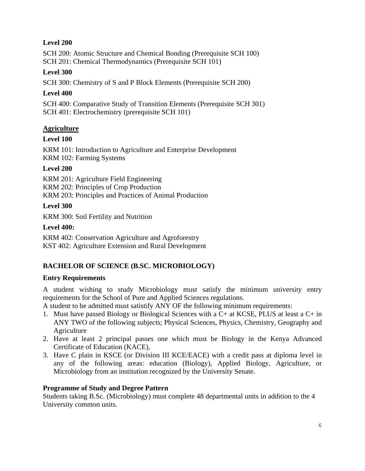# **Level 200**

SCH 200: Atomic Structure and Chemical Bonding (Prerequisite SCH 100) SCH 201: Chemical Thermodynamics (Prerequisite SCH 101)

# **Level 300**

SCH 300: Chemistry of S and P Block Elements (Prerequisite SCH 200)

# **Level 400**

SCH 400: Comparative Study of Transition Elements (Prerequisite SCH 301) SCH 401: Electrochemistry (prerequisite SCH 101)

# **Agriculture**

# **Level 100**

KRM 101: Introduction to Agriculture and Enterprise Development KRM 102: Farming Systems

# **Level 200**

KRM 201: Agriculture Field Engineering KRM 202: Principles of Crop Production

KRM 203: Principles and Practices of Animal Production

**Level 300** 

KRM 300: Soil Fertility and Nutrition

# **Level 400:**

KRM 402: Conservation Agriculture and Agroforestry KST 402: Agriculture Extension and Rural Development

# **BACHELOR OF SCIENCE (B.SC. MICROBIOLOGY)**

# **Entry Requirements**

A student wishing to study Microbiology must satisfy the minimum university entry requirements for the School of Pure and Applied Sciences regulations.

A student to be admitted must satistify ANY OF the following minimum requirements:

- 1. Must have passed Biology or Biological Sciences with a C+ at KCSE, PLUS at least a C+ in ANY TWO of the following subjects; Physical Sciences, Physics, Chemistry, Geography and Agriculture
- 2. Have at least 2 principal passes one which must be Biology in the Kenya Advanced Certificate of Education (KACE),
- 3. Have C plain in KSCE (or Division III KCE/EACE) with a credit pass at diploma level in any of the following areas: education (Biology), Applied Biology, Agriculture, or Microbiology from an institution recognized by the University Senate.

# **Programme of Study and Degree Pattern**

Students taking B.Sc. (Microbiology) must complete 48 departmental units in addition to the 4 University common units.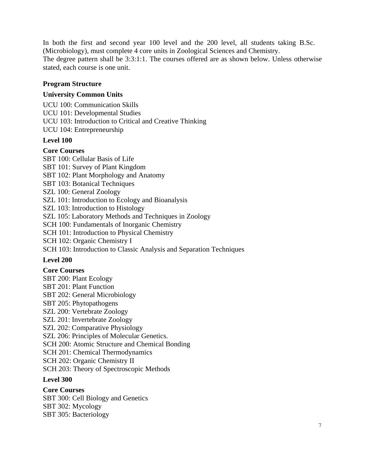In both the first and second year 100 level and the 200 level, all students taking B.Sc. (Microbiology), must complete 4 core units in Zoological Sciences and Chemistry. The degree pattern shall be 3:3:1:1. The courses offered are as shown below. Unless otherwise stated, each course is one unit.

# **Program Structure**

# **University Common Units**

UCU 100: Communication Skills UCU 101: Developmental Studies

UCU 103: Introduction to Critical and Creative Thinking

UCU 104: Entrepreneurship

# **Level 100**

# **Core Courses**

SBT 100: Cellular Basis of Life

SBT 101: Survey of Plant Kingdom

SBT 102: Plant Morphology and Anatomy

- SBT 103: Botanical Techniques
- SZL 100: General Zoology
- SZL 101: Introduction to Ecology and Bioanalysis
- SZL 103: Introduction to Histology

SZL 105: Laboratory Methods and Techniques in Zoology

SCH 100: Fundamentals of Inorganic Chemistry

SCH 101: Introduction to Physical Chemistry

SCH 102: Organic Chemistry I

SCH 103: Introduction to Classic Analysis and Separation Techniques

#### **Level 200**

#### **Core Courses**

SBT 200: Plant Ecology SBT 201: Plant Function SBT 202: General Microbiology SBT 205: Phytopathogens SZL 200: Vertebrate Zoology SZL 201: Invertebrate Zoology SZL 202: Comparative Physiology SZL 206: Principles of Molecular Genetics. SCH 200: Atomic Structure and Chemical Bonding SCH 201: Chemical Thermodynamics SCH 202: Organic Chemistry II SCH 203: Theory of Spectroscopic Methods

#### **Level 300**

**Core Courses**  SBT 300: Cell Biology and Genetics SBT 302: Mycology SBT 305: Bacteriology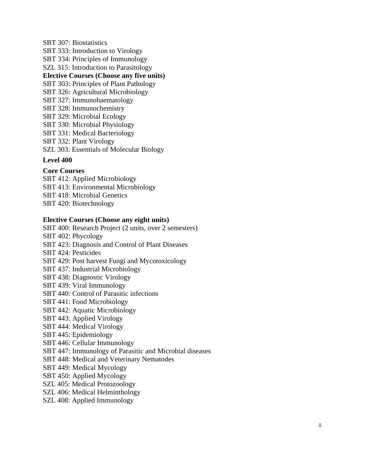SBT 307: Biostatistics SBT 333: Introduction to Virology SBT 334: Principles of Immunology SZL 315: Introduction to Parasitology **Elective Courses (Choose any five units)**  SBT 303: Principles of Plant Pathology SBT 326: Agricultural Microbiology SBT 327: Immunohaematology SBT 328: Immunochemistry SBT 329: Microbial Ecology SBT 330: Microbial Physiology SBT 331: Medical Bacteriology SBT 332: Plant Virology SZL 303: Essentials of Molecular Biology

#### **Level 400**

#### **Core Courses**

SBT 412: Applied Microbiology SBT 413: Environmental Microbiology SBT 418: Microbial Genetics SBT 420: Biotechnology

#### **Elective Courses (Choose any eight units)**

SBT 400: Research Project (2 units, over 2 semesters) SBT 402: Phycology SBT 423: Diagnosis and Control of Plant Diseases SBT 424: Pesticides SBT 429: Post harvest Fungi and Mycotoxicology SBT 437: Industrial Microbiology SBT 438: Diagnostic Virology SBT 439: Viral Immunology SBT 440: Control of Parasitic infections SBT 441: Food Microbiology SBT 442: Aquatic Microbiology SBT 443: Applied Virology SBT 444: Medical Virology SBT 445: Epidemiology SBT 446: Cellular Immunology SBT 447: Immunology of Parasitic and Microbial diseases SBT 448: Medical and Veterinary Nematodes SBT 449: Medical Mycology SBT 450: Applied Mycology SZL 405: Medical Protozoology

- SZL 406: Medical Helminthology
- SZL 408: Applied Immunology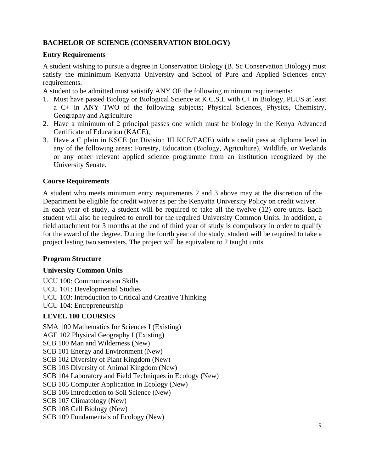# **BACHELOR OF SCIENCE (CONSERVATION BIOLOGY)**

# **Entry Requirements**

A student wishing to pursue a degree in Conservation Biology (B. Sc Conservation Biology) must satisfy the mininimum Kenyatta University and School of Pure and Applied Sciences entry requirements.

A student to be admitted must satistify ANY OF the following minimum requirements:

- 1. Must have passed Biology or Biological Science at K.C.S.E with C+ in Biology, PLUS at least a C+ in ANY TWO of the following subjects; Physical Sciences, Physics, Chemistry, Geography and Agriculture
- 2. Have a minimum of 2 principal passes one which must be biology in the Kenya Advanced Certificate of Education (KACE),
- 3. Have a C plain in KSCE (or Division III KCE/EACE) with a credit pass at diploma level in any of the following areas: Forestry, Education (Biology, Agriculture), Wildlife, or Wetlands or any other relevant applied science programme from an institution recognized by the University Senate.

# **Course Requirements**

A student who meets minimum entry requirements 2 and 3 above may at the discretion of the Department be eligible for credit waiver as per the Kenyatta University Policy on credit waiver. In each year of study, a student will be required to take all the twelve (12) core units. Each student will also be required to enroll for the required University Common Units. In addition, a field attachment for 3 months at the end of third year of study is compulsory in order to qualify for the award of the degree. During the fourth year of the study, student will be required to take a project lasting two semesters. The project will be equivalent to 2 taught units.

#### **Program Structure**

#### **University Common Units**

UCU 100: Communication Skills UCU 101: Developmental Studies UCU 103: Introduction to Critical and Creative Thinking UCU 104: Entrepreneurship

# **LEVEL 100 COURSES**

SMA 100 Mathematics for Sciences I (Existing) AGE 102 Physical Geography I (Existing) SCB 100 Man and Wilderness (New) SCB 101 Energy and Environment (New) SCB 102 Diversity of Plant Kingdom (New) SCB 103 Diversity of Animal Kingdom (New) SCB 104 Laboratory and Field Techniques in Ecology (New) SCB 105 Computer Application in Ecology (New) SCB 106 Introduction to Soil Science (New) SCB 107 Climatology (New) SCB 108 Cell Biology (New) SCB 109 Fundamentals of Ecology (New)